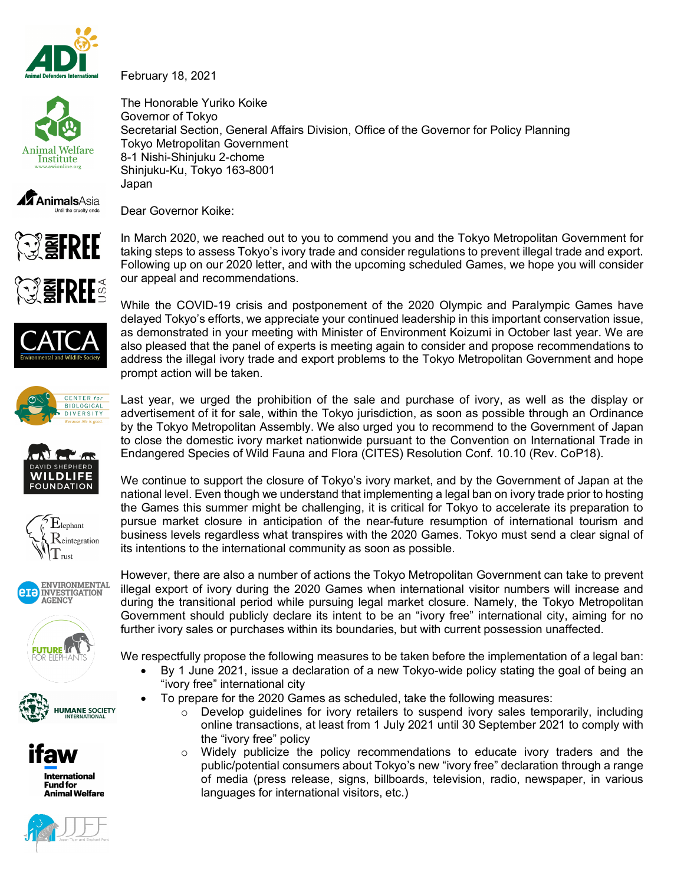

February 18, 2021



The Honorable Yuriko Koike Governor of Tokyo Secretarial Section, General Affairs Division, Office of the Governor for Policy Planning Tokyo Metropolitan Government 8-1 Nishi-Shinjuku 2-chome Shinjuku-Ku, Tokyo 163-8001 Japan



Dear Governor Koike:



In March 2020, we reached out to you to commend you and the Tokyo Metropolitan Government for taking steps to assess Tokyo's ivory trade and consider regulations to prevent illegal trade and export. Following up on our 2020 letter, and with the upcoming scheduled Games, we hope you will consider our appeal and recommendations.



















While the COVID-19 crisis and postponement of the 2020 Olympic and Paralympic Games have delayed Tokyo's efforts, we appreciate your continued leadership in this important conservation issue, as demonstrated in your meeting with Minister of Environment Koizumi in October last year. We are also pleased that the panel of experts is meeting again to consider and propose recommendations to address the illegal ivory trade and export problems to the Tokyo Metropolitan Government and hope prompt action will be taken.

Last year, we urged the prohibition of the sale and purchase of ivory, as well as the display or advertisement of it for sale, within the Tokyo jurisdiction, as soon as possible through an Ordinance by the Tokyo Metropolitan Assembly. We also urged you to recommend to the Government of Japan to close the domestic ivory market nationwide pursuant to the Convention on International Trade in Endangered Species of Wild Fauna and Flora (CITES) Resolution Conf. 10.10 (Rev. CoP18).

We continue to support the closure of Tokyo's ivory market, and by the Government of Japan at the national level. Even though we understand that implementing a legal ban on ivory trade prior to hosting the Games this summer might be challenging, it is critical for Tokyo to accelerate its preparation to pursue market closure in anticipation of the near-future resumption of international tourism and business levels regardless what transpires with the 2020 Games. Tokyo must send a clear signal of its intentions to the international community as soon as possible.

However, there are also a number of actions the Tokyo Metropolitan Government can take to prevent illegal export of ivory during the 2020 Games when international visitor numbers will increase and during the transitional period while pursuing legal market closure. Namely, the Tokyo Metropolitan Government should publicly declare its intent to be an "ivory free" international city, aiming for no further ivory sales or purchases within its boundaries, but with current possession unaffected.

We respectfully propose the following measures to be taken before the implementation of a legal ban:

- By 1 June 2021, issue a declaration of a new Tokyo-wide policy stating the goal of being an "ivory free" international city
- To prepare for the 2020 Games as scheduled, take the following measures:
	- o Develop guidelines for ivory retailers to suspend ivory sales temporarily, including online transactions, at least from 1 July 2021 until 30 September 2021 to comply with the "ivory free" policy
	- $\circ$  Widely publicize the policy recommendations to educate ivory traders and the public/potential consumers about Tokyo's new "ivory free" declaration through a range of media (press release, signs, billboards, television, radio, newspaper, in various languages for international visitors, etc.)